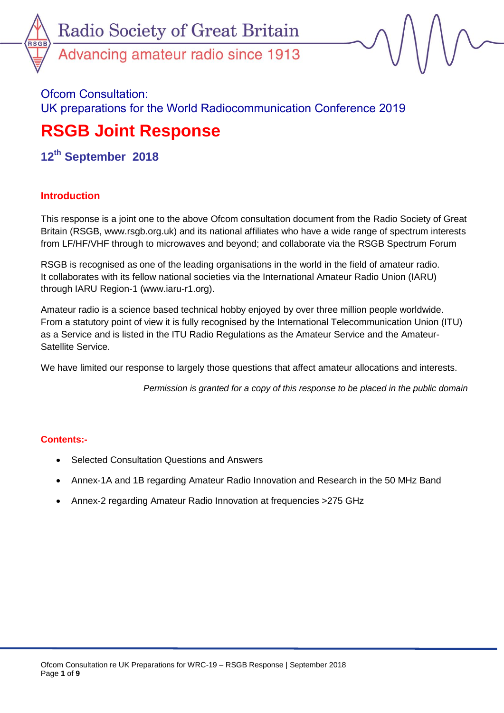

Ofcom Consultation: UK preparations for the World Radiocommunication Conference 2019

# **RSGB Joint Response**

**12 th September 2018**

# **Introduction**

This response is a joint one to the above Ofcom consultation document from the Radio Society of Great Britain (RSGB, www.rsgb.org.uk) and its national affiliates who have a wide range of spectrum interests from LF/HF/VHF through to microwaves and beyond; and collaborate via the RSGB Spectrum Forum

RSGB is recognised as one of the leading organisations in the world in the field of amateur radio. It collaborates with its fellow national societies via the International Amateur Radio Union (IARU) through IARU Region-1 (www.iaru-r1.org).

Amateur radio is a science based technical hobby enjoyed by over three million people worldwide. From a statutory point of view it is fully recognised by the International Telecommunication Union (ITU) as a Service and is listed in the ITU Radio Regulations as the Amateur Service and the Amateur-Satellite Service.

We have limited our response to largely those questions that affect amateur allocations and interests.

*Permission is granted for a copy of this response to be placed in the public domain*

### **Contents:-**

- Selected Consultation Questions and Answers
- Annex-1A and 1B regarding Amateur Radio Innovation and Research in the 50 MHz Band
- Annex-2 regarding Amateur Radio Innovation at frequencies >275 GHz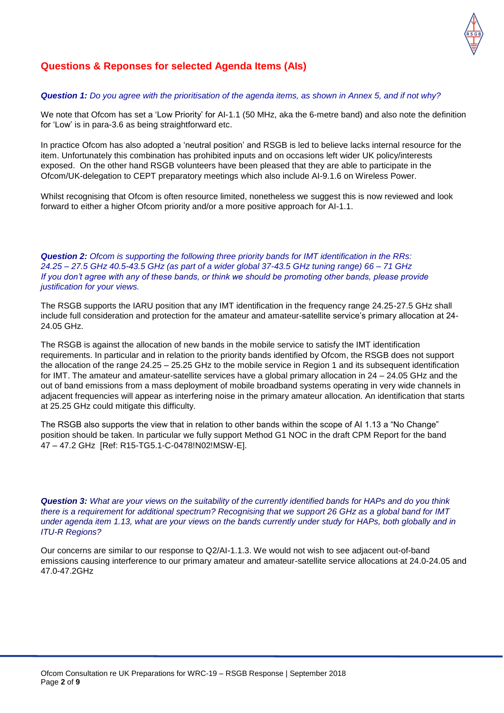

## **Questions & Reponses for selected Agenda Items (AIs)**

#### *Question 1: Do you agree with the prioritisation of the agenda items, as shown in Annex 5, and if not why?*

We note that Ofcom has set a 'Low Priority' for AI-1.1 (50 MHz, aka the 6-metre band) and also note the definition for 'Low' is in para-3.6 as being straightforward etc.

In practice Ofcom has also adopted a 'neutral position' and RSGB is led to believe lacks internal resource for the item. Unfortunately this combination has prohibited inputs and on occasions left wider UK policy/interests exposed. On the other hand RSGB volunteers have been pleased that they are able to participate in the Ofcom/UK-delegation to CEPT preparatory meetings which also include AI-9.1.6 on Wireless Power.

Whilst recognising that Ofcom is often resource limited, nonetheless we suggest this is now reviewed and look forward to either a higher Ofcom priority and/or a more positive approach for AI-1.1.

*Question 2: Ofcom is supporting the following three priority bands for IMT identification in the RRs: 24.25 – 27.5 GHz 40.5-43.5 GHz (as part of a wider global 37-43.5 GHz tuning range) 66 – 71 GHz If you don't agree with any of these bands, or think we should be promoting other bands, please provide justification for your views.* 

The RSGB supports the IARU position that any IMT identification in the frequency range 24.25-27.5 GHz shall include full consideration and protection for the amateur and amateur-satellite service's primary allocation at 24- 24.05 GHz.

The RSGB is against the allocation of new bands in the mobile service to satisfy the IMT identification requirements. In particular and in relation to the priority bands identified by Ofcom, the RSGB does not support the allocation of the range 24.25 – 25.25 GHz to the mobile service in Region 1 and its subsequent identification for IMT. The amateur and amateur-satellite services have a global primary allocation in 24 – 24.05 GHz and the out of band emissions from a mass deployment of mobile broadband systems operating in very wide channels in adjacent frequencies will appear as interfering noise in the primary amateur allocation. An identification that starts at 25.25 GHz could mitigate this difficulty.

The RSGB also supports the view that in relation to other bands within the scope of AI 1.13 a "No Change" position should be taken. In particular we fully support Method G1 NOC in the draft CPM Report for the band 47 – 47.2 GHz [Ref: R15-TG5.1-C-0478!N02!MSW-E].

*Question 3: What are your views on the suitability of the currently identified bands for HAPs and do you think there is a requirement for additional spectrum? Recognising that we support 26 GHz as a global band for IMT under agenda item 1.13, what are your views on the bands currently under study for HAPs, both globally and in ITU-R Regions?* 

Our concerns are similar to our response to Q2/AI-1.1.3. We would not wish to see adjacent out-of-band emissions causing interference to our primary amateur and amateur-satellite service allocations at 24.0-24.05 and 47.0-47.2GHz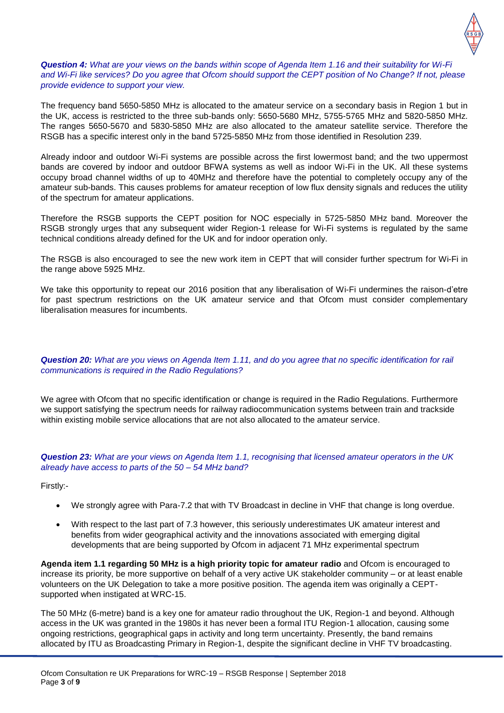

#### *Question 4: What are your views on the bands within scope of Agenda Item 1.16 and their suitability for Wi-Fi and Wi-Fi like services? Do you agree that Ofcom should support the CEPT position of No Change? If not, please provide evidence to support your view.*

The frequency band 5650-5850 MHz is allocated to the amateur service on a secondary basis in Region 1 but in the UK, access is restricted to the three sub-bands only: 5650-5680 MHz, 5755-5765 MHz and 5820-5850 MHz. The ranges 5650-5670 and 5830-5850 MHz are also allocated to the amateur satellite service. Therefore the RSGB has a specific interest only in the band 5725-5850 MHz from those identified in Resolution 239.

Already indoor and outdoor Wi-Fi systems are possible across the first lowermost band; and the two uppermost bands are covered by indoor and outdoor BFWA systems as well as indoor Wi-Fi in the UK. All these systems occupy broad channel widths of up to 40MHz and therefore have the potential to completely occupy any of the amateur sub-bands. This causes problems for amateur reception of low flux density signals and reduces the utility of the spectrum for amateur applications.

Therefore the RSGB supports the CEPT position for NOC especially in 5725-5850 MHz band. Moreover the RSGB strongly urges that any subsequent wider Region-1 release for Wi-Fi systems is regulated by the same technical conditions already defined for the UK and for indoor operation only.

The RSGB is also encouraged to see the new work item in CEPT that will consider further spectrum for Wi-Fi in the range above 5925 MHz.

We take this opportunity to repeat our 2016 position that any liberalisation of Wi-Fi undermines the raison-d'etre for past spectrum restrictions on the UK amateur service and that Ofcom must consider complementary liberalisation measures for incumbents.

#### *Question 20: What are you views on Agenda Item 1.11, and do you agree that no specific identification for rail communications is required in the Radio Regulations?*

We agree with Ofcom that no specific identification or change is required in the Radio Regulations. Furthermore we support satisfying the spectrum needs for railway radiocommunication systems between train and trackside within existing mobile service allocations that are not also allocated to the amateur service.

#### *Question 23: What are your views on Agenda Item 1.1, recognising that licensed amateur operators in the UK already have access to parts of the 50 – 54 MHz band?*

Firstly:-

- We strongly agree with Para-7.2 that with TV Broadcast in decline in VHF that change is long overdue.
- With respect to the last part of 7.3 however, this seriously underestimates UK amateur interest and benefits from wider geographical activity and the innovations associated with emerging digital developments that are being supported by Ofcom in adjacent 71 MHz experimental spectrum

**Agenda item 1.1 regarding 50 MHz is a high priority topic for amateur radio** and Ofcom is encouraged to increase its priority, be more supportive on behalf of a very active UK stakeholder community – or at least enable volunteers on the UK Delegation to take a more positive position. The agenda item was originally a CEPTsupported when instigated at WRC-15.

The 50 MHz (6-metre) band is a key one for amateur radio throughout the UK, Region-1 and beyond. Although access in the UK was granted in the 1980s it has never been a formal ITU Region-1 allocation, causing some ongoing restrictions, geographical gaps in activity and long term uncertainty. Presently, the band remains allocated by ITU as Broadcasting Primary in Region-1, despite the significant decline in VHF TV broadcasting.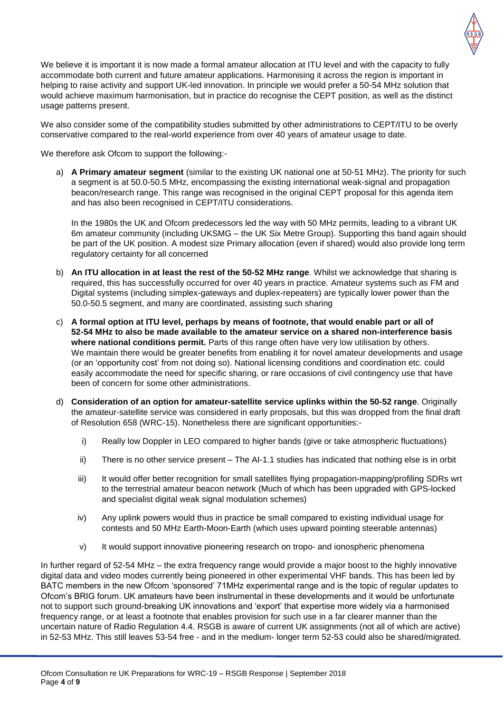

We believe it is important it is now made a formal amateur allocation at ITU level and with the capacity to fully accommodate both current and future amateur applications. Harmonising it across the region is important in helping to raise activity and support UK-led innovation. In principle we would prefer a 50-54 MHz solution that would achieve maximum harmonisation, but in practice do recognise the CEPT position, as well as the distinct usage patterns present.

We also consider some of the compatibility studies submitted by other administrations to CEPT/ITU to be overly conservative compared to the real-world experience from over 40 years of amateur usage to date.

We therefore ask Ofcom to support the following:-

a) **A Primary amateur segment** (similar to the existing UK national one at 50-51 MHz). The priority for such a segment is at 50.0-50.5 MHz, encompassing the existing international weak-signal and propagation beacon/research range. This range was recognised in the original CEPT proposal for this agenda item and has also been recognised in CEPT/ITU considerations.

In the 1980s the UK and Ofcom predecessors led the way with 50 MHz permits, leading to a vibrant UK 6m amateur community (including UKSMG – the UK Six Metre Group). Supporting this band again should be part of the UK position. A modest size Primary allocation (even if shared) would also provide long term regulatory certainty for all concerned

- b) **An ITU allocation in at least the rest of the 50-52 MHz range**. Whilst we acknowledge that sharing is required, this has successfully occurred for over 40 years in practice. Amateur systems such as FM and Digital systems (including simplex-gateways and duplex-repeaters) are typically lower power than the 50.0-50.5 segment, and many are coordinated, assisting such sharing
- c) **A formal option at ITU level, perhaps by means of footnote, that would enable part or all of 52-54 MHz to also be made available to the amateur service on a shared non-interference basis where national conditions permit.** Parts of this range often have very low utilisation by others. We maintain there would be greater benefits from enabling it for novel amateur developments and usage (or an 'opportunity cost' from not doing so). National licensing conditions and coordination etc. could easily accommodate the need for specific sharing, or rare occasions of civil contingency use that have been of concern for some other administrations.
- d) **Consideration of an option for amateur-satellite service uplinks within the 50-52 range**. Originally the amateur-satellite service was considered in early proposals, but this was dropped from the final draft of Resolution 658 (WRC-15). Nonetheless there are significant opportunities:
	- i) Really low Doppler in LEO compared to higher bands (give or take atmospheric fluctuations)
	- ii) There is no other service present The AI-1.1 studies has indicated that nothing else is in orbit
	- iii) It would offer better recognition for small satellites flying propagation-mapping/profiling SDRs wrt to the terrestrial amateur beacon network (Much of which has been upgraded with GPS-locked and specialist digital weak signal modulation schemes)
	- iv) Any uplink powers would thus in practice be small compared to existing individual usage for contests and 50 MHz Earth-Moon-Earth (which uses upward pointing steerable antennas)
	- v) It would support innovative pioneering research on tropo- and ionospheric phenomena

In further regard of 52-54 MHz – the extra frequency range would provide a major boost to the highly innovative digital data and video modes currently being pioneered in other experimental VHF bands. This has been led by BATC members in the new Ofcom 'sponsored' 71MHz experimental range and is the topic of regular updates to Ofcom's BRIG forum. UK amateurs have been instrumental in these developments and it would be unfortunate not to support such ground-breaking UK innovations and 'export' that expertise more widely via a harmonised frequency range, or at least a footnote that enables provision for such use in a far clearer manner than the uncertain nature of Radio Regulation 4.4. RSGB is aware of current UK assignments (not all of which are active) in 52-53 MHz. This still leaves 53-54 free - and in the medium- longer term 52-53 could also be shared/migrated.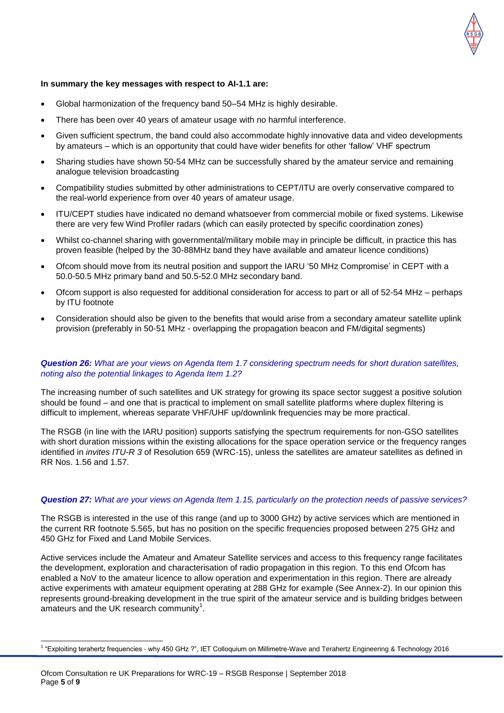

#### **In summary the key messages with respect to AI-1.1 are:**

- Global harmonization of the frequency band 50–54 MHz is highly desirable.
- There has been over 40 years of amateur usage with no harmful interference.
- Given sufficient spectrum, the band could also accommodate highly innovative data and video developments by amateurs – which is an opportunity that could have wider benefits for other 'fallow' VHF spectrum
- Sharing studies have shown 50-54 MHz can be successfully shared by the amateur service and remaining analogue television broadcasting
- Compatibility studies submitted by other administrations to CEPT/ITU are overly conservative compared to the real-world experience from over 40 years of amateur usage.
- ITU/CEPT studies have indicated no demand whatsoever from commercial mobile or fixed systems. Likewise there are very few Wind Profiler radars (which can easily protected by specific coordination zones)
- Whilst co-channel sharing with governmental/military mobile may in principle be difficult, in practice this has proven feasible (helped by the 30-88MHz band they have available and amateur licence conditions)
- Ofcom should move from its neutral position and support the IARU '50 MHz Compromise' in CEPT with a 50.0-50.5 MHz primary band and 50.5-52.0 MHz secondary band.
- Ofcom support is also requested for additional consideration for access to part or all of 52-54 MHz perhaps by ITU footnote
- Consideration should also be given to the benefits that would arise from a secondary amateur satellite uplink provision (preferably in 50-51 MHz - overlapping the propagation beacon and FM/digital segments)

#### *Question 26: What are your views on Agenda Item 1.7 considering spectrum needs for short duration satellites, noting also the potential linkages to Agenda Item 1.2?*

The increasing number of such satellites and UK strategy for growing its space sector suggest a positive solution should be found – and one that is practical to implement on small satellite platforms where duplex filtering is difficult to implement, whereas separate VHF/UHF up/downlink frequencies may be more practical.

The RSGB (in line with the IARU position) supports satisfying the spectrum requirements for non-GSO satellites with short duration missions within the existing allocations for the space operation service or the frequency ranges identified in *invites ITU-R 3* of Resolution 659 (WRC-15), unless the satellites are amateur satellites as defined in RR Nos. 1.56 and 1.57.

#### *Question 27: What are your views on Agenda Item 1.15, particularly on the protection needs of passive services?*

The RSGB is interested in the use of this range (and up to 3000 GHz) by active services which are mentioned in the current RR footnote 5.565, but has no position on the specific frequencies proposed between 275 GHz and 450 GHz for Fixed and Land Mobile Services.

Active services include the Amateur and Amateur Satellite services and access to this frequency range facilitates the development, exploration and characterisation of radio propagation in this region. To this end Ofcom has enabled a NoV to the amateur licence to allow operation and experimentation in this region. There are already active experiments with amateur equipment operating at 288 GHz for example (See Annex-2). In our opinion this represents ground-breaking development in the true spirit of the amateur service and is building bridges between amateurs and the UK research community<sup>1</sup>.

 1 "Exploiting terahertz frequencies - why 450 GHz ?", IET Colloquium on Millimetre-Wave and Terahertz Engineering & Technology 2016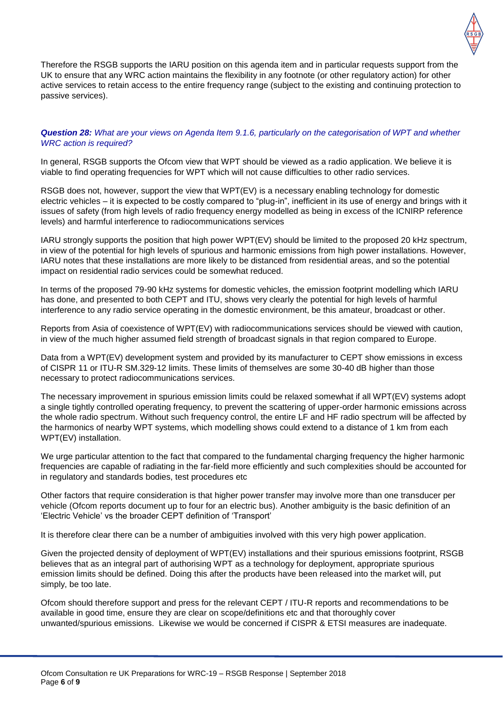

Therefore the RSGB supports the IARU position on this agenda item and in particular requests support from the UK to ensure that any WRC action maintains the flexibility in any footnote (or other regulatory action) for other active services to retain access to the entire frequency range (subject to the existing and continuing protection to passive services).

#### *Question 28: What are your views on Agenda Item 9.1.6, particularly on the categorisation of WPT and whether WRC action is required?*

In general, RSGB supports the Ofcom view that WPT should be viewed as a radio application. We believe it is viable to find operating frequencies for WPT which will not cause difficulties to other radio services.

RSGB does not, however, support the view that WPT(EV) is a necessary enabling technology for domestic electric vehicles – it is expected to be costly compared to "plug-in", inefficient in its use of energy and brings with it issues of safety (from high levels of radio frequency energy modelled as being in excess of the ICNIRP reference levels) and harmful interference to radiocommunications services

IARU strongly supports the position that high power WPT(EV) should be limited to the proposed 20 kHz spectrum, in view of the potential for high levels of spurious and harmonic emissions from high power installations. However, IARU notes that these installations are more likely to be distanced from residential areas, and so the potential impact on residential radio services could be somewhat reduced.

In terms of the proposed 79-90 kHz systems for domestic vehicles, the emission footprint modelling which IARU has done, and presented to both CEPT and ITU, shows very clearly the potential for high levels of harmful interference to any radio service operating in the domestic environment, be this amateur, broadcast or other.

Reports from Asia of coexistence of WPT(EV) with radiocommunications services should be viewed with caution, in view of the much higher assumed field strength of broadcast signals in that region compared to Europe.

Data from a WPT(EV) development system and provided by its manufacturer to CEPT show emissions in excess of CISPR 11 or ITU-R SM.329-12 limits. These limits of themselves are some 30-40 dB higher than those necessary to protect radiocommunications services.

The necessary improvement in spurious emission limits could be relaxed somewhat if all WPT(EV) systems adopt a single tightly controlled operating frequency, to prevent the scattering of upper-order harmonic emissions across the whole radio spectrum. Without such frequency control, the entire LF and HF radio spectrum will be affected by the harmonics of nearby WPT systems, which modelling shows could extend to a distance of 1 km from each WPT(EV) installation.

We urge particular attention to the fact that compared to the fundamental charging frequency the higher harmonic frequencies are capable of radiating in the far-field more efficiently and such complexities should be accounted for in regulatory and standards bodies, test procedures etc

Other factors that require consideration is that higher power transfer may involve more than one transducer per vehicle (Ofcom reports document up to four for an electric bus). Another ambiguity is the basic definition of an 'Electric Vehicle' vs the broader CEPT definition of 'Transport'

It is therefore clear there can be a number of ambiguities involved with this very high power application.

Given the projected density of deployment of WPT(EV) installations and their spurious emissions footprint, RSGB believes that as an integral part of authorising WPT as a technology for deployment, appropriate spurious emission limits should be defined. Doing this after the products have been released into the market will, put simply, be too late.

Ofcom should therefore support and press for the relevant CEPT / ITU-R reports and recommendations to be available in good time, ensure they are clear on scope/definitions etc and that thoroughly cover unwanted/spurious emissions. Likewise we would be concerned if CISPR & ETSI measures are inadequate.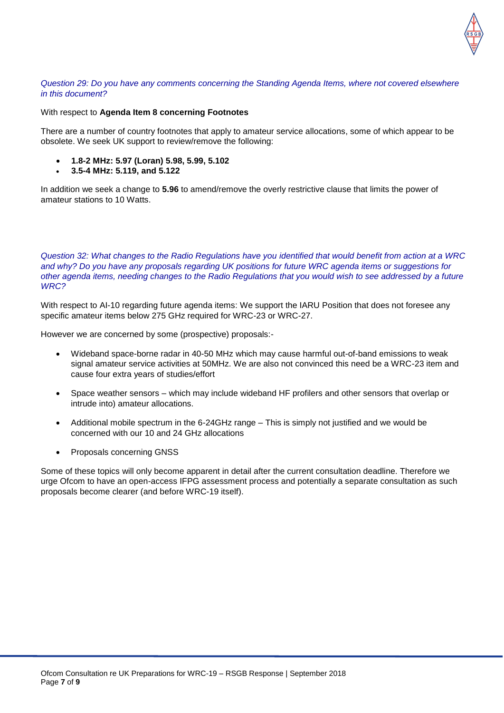#### *Question 29: Do you have any comments concerning the Standing Agenda Items, where not covered elsewhere in this document?*

#### With respect to **Agenda Item 8 concerning Footnotes**

There are a number of country footnotes that apply to amateur service allocations, some of which appear to be obsolete. We seek UK support to review/remove the following:

- **1.8-2 MHz: 5.97 (Loran) 5.98, 5.99, 5.102**
- **3.5-4 MHz: 5.119, and 5.122**

In addition we seek a change to **5.96** to amend/remove the overly restrictive clause that limits the power of amateur stations to 10 Watts.

*Question 32: What changes to the Radio Regulations have you identified that would benefit from action at a WRC and why? Do you have any proposals regarding UK positions for future WRC agenda items or suggestions for other agenda items, needing changes to the Radio Regulations that you would wish to see addressed by a future WRC?*

With respect to AI-10 regarding future agenda items: We support the IARU Position that does not foresee any specific amateur items below 275 GHz required for WRC-23 or WRC-27.

However we are concerned by some (prospective) proposals:-

- Wideband space-borne radar in 40-50 MHz which may cause harmful out-of-band emissions to weak signal amateur service activities at 50MHz. We are also not convinced this need be a WRC-23 item and cause four extra years of studies/effort
- Space weather sensors which may include wideband HF profilers and other sensors that overlap or intrude into) amateur allocations.
- Additional mobile spectrum in the 6-24GHz range This is simply not justified and we would be concerned with our 10 and 24 GHz allocations
- Proposals concerning GNSS

Some of these topics will only become apparent in detail after the current consultation deadline. Therefore we urge Ofcom to have an open-access IFPG assessment process and potentially a separate consultation as such proposals become clearer (and before WRC-19 itself).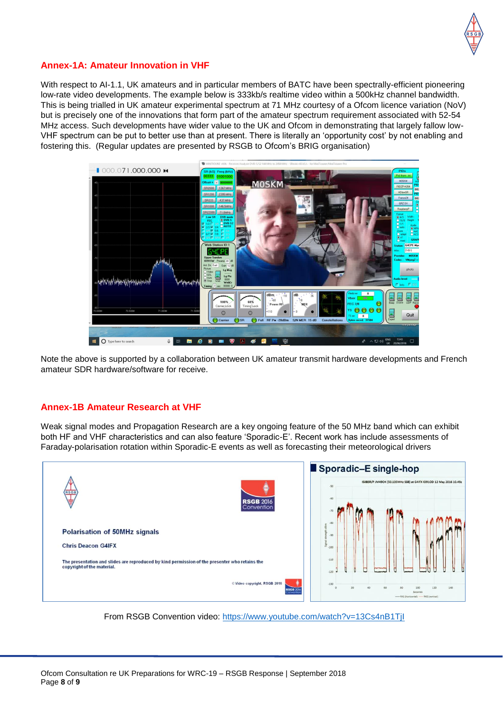

#### **Annex-1A: Amateur Innovation in VHF**

With respect to AI-1.1, UK amateurs and in particular members of BATC have been spectrally-efficient pioneering low-rate video developments. The example below is 333kb/s realtime video within a 500kHz channel bandwidth. This is being trialled in UK amateur experimental spectrum at 71 MHz courtesy of a Ofcom licence variation (NoV) but is precisely one of the innovations that form part of the amateur spectrum requirement associated with 52-54 MHz access. Such developments have wider value to the UK and Ofcom in demonstrating that largely fallow low-VHF spectrum can be put to better use than at present. There is literally an 'opportunity cost' by not enabling and fostering this. (Regular updates are presented by RSGB to Ofcom's BRIG organisation)



Note the above is supported by a collaboration between UK amateur transmit hardware developments and French amateur SDR hardware/software for receive.

#### **Annex-1B Amateur Research at VHF**

Weak signal modes and Propagation Research are a key ongoing feature of the 50 MHz band which can exhibit both HF and VHF characteristics and can also feature 'Sporadic-E'. Recent work has include assessments of Faraday-polarisation rotation within Sporadic-E events as well as forecasting their meteorological drivers



From RSGB Convention video:<https://www.youtube.com/watch?v=13Cs4nB1TjI>